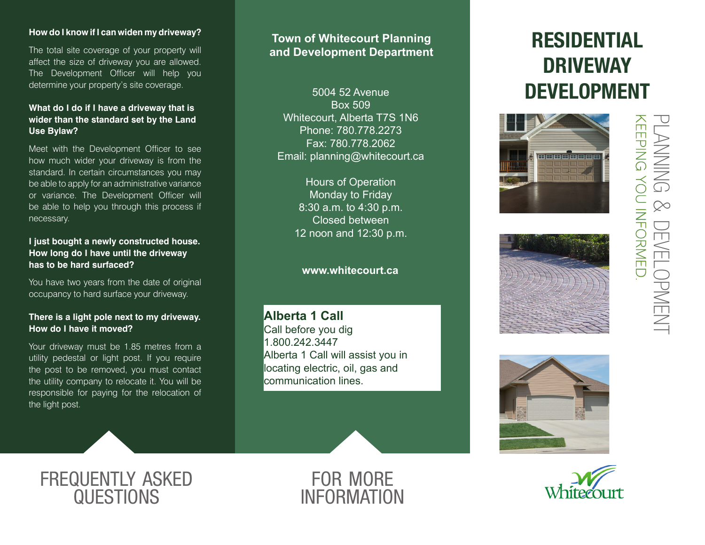### **How do I know if I can widen my driveway?**

The total site coverage of your property will affect the size of driveway you are allowed. The Development Officer will help you determine your property's site coverage.

### **What do I do if I have a driveway that is wider than the standard set by the Land Use Bylaw?**

Meet with the Development Officer to see how much wider your driveway is from the standard. In certain circumstances you may be able to apply for an administrative variance or variance. The Development Officer will be able to help you through this process if necessary.

### **I just bought a newly constructed house. How long do I have until the driveway has to be hard surfaced?**

You have two years from the date of original occupancy to hard surface your driveway.

### **There is a light pole next to my driveway. How do I have it moved?**

Your driveway must be 1.85 metres from a utility pedestal or light post. If you require the post to be removed, you must contact the utility company to relocate it. You will be responsible for paying for the relocation of the light post.

### **Town of Whitecourt Planning and Development Department**

5004 52 Avenue Box 509 Whitecourt, Alberta T7S 1N6 Phone: 780.778.2273 Fax: 780.778.2062 Email: planning@whitecourt.ca

> Hours of Operation Monday to Friday 8:30 a.m. to 4:30 p.m. Closed between 12 noon and 12:30 p.m.

### **www.whitecourt.ca**

**Alberta 1 Call** Call before you dig 1.800.242.3447 Alberta 1 Call will assist you in locating electric, oil, gas and communication lines.

# RESIDENTIAL DRIVEWAY DEVELOPMENT